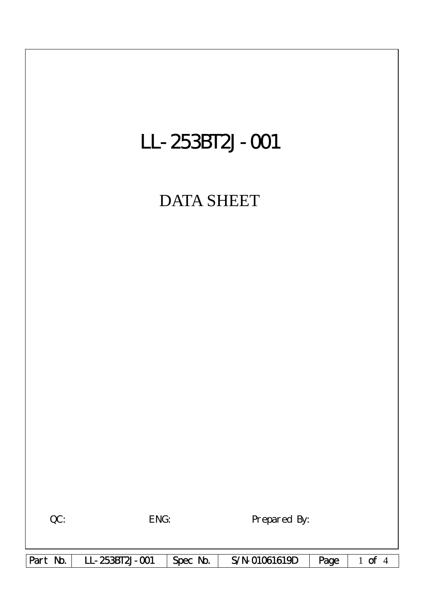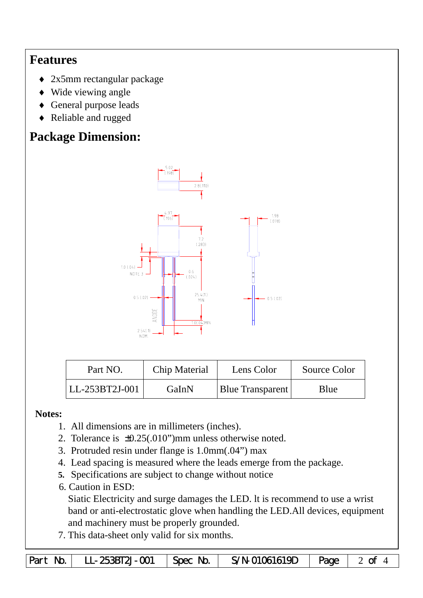## **Features**

- ♦ 2x5mm rectangular package
- ♦ Wide viewing angle
- ♦ General purpose leads
- ♦ Reliable and rugged

# **Package Dimension:**



| Part NO.         | Chip Material | Lens Color              | Source Color |  |
|------------------|---------------|-------------------------|--------------|--|
| $LL-253BT2J-001$ | GaInN         | <b>Blue Transparent</b> | Blue         |  |

#### **Notes:**

- 1. All dimensions are in millimeters (inches).
- 2. Tolerance is  $\pm 0.25(.010")$  mm unless otherwise noted.
- 3. Protruded resin under flange is 1.0mm(.04") max
- 4. Lead spacing is measured where the leads emerge from the package.
- **5.** Specifications are subject to change without notice
- 6. Caution in ESD:

Siatic Electricity and surge damages the LED. lt is recommend to use a wrist band or anti-electrostatic glove when handling the LED.All devices, equipment and machinery must be properly grounded.

7. This data-sheet only valid for six months.

|  | Part No.   LL-253BT2J-001   Spec No. |  | S/N-01061619D $\vert$ Page $\vert$ 2 of 4 |  |  |
|--|--------------------------------------|--|-------------------------------------------|--|--|
|--|--------------------------------------|--|-------------------------------------------|--|--|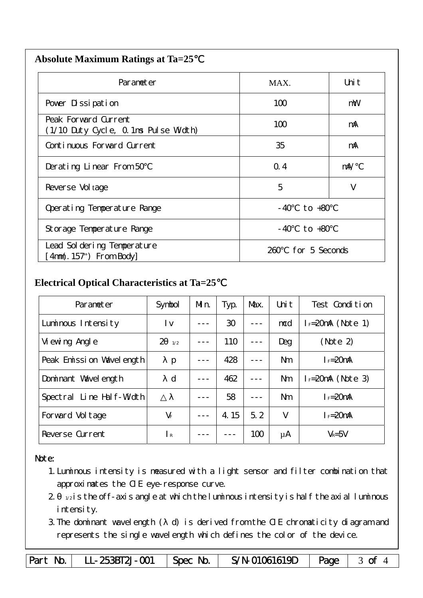| <b>Absolute Maximum Ratings at Ta=25</b> |  |
|------------------------------------------|--|
|                                          |  |

| Parameter                                                    | MAX.                  | Uni t      |
|--------------------------------------------------------------|-----------------------|------------|
| Pover Dissipation                                            | 100                   | mW         |
| Peak Forward Current<br>(1/10 Duty Cycle, 0.1ms Pulse Width) | 100                   | mA         |
| Continuous Forward Current                                   | 35                    | mA         |
| Derating Linear From 50                                      | Q.4                   | $m\lambda$ |
| Reverse Vol tage                                             | 5                     | V          |
| Operating Temperature Range                                  | to $+80$<br>- 40      |            |
| Storage Temperature Range                                    | $-40$ to $+80$        |            |
| Lead Sol dering Temperature<br>4nm(. 157") From Body         | for 5 Seconds<br>260. |            |

### **Electrical Optical Characteristics at Ta=25**℃

| Parameter                   | Symbol                | Mn. | Typ.                   | Max. | Uni t          | Test Condition      |
|-----------------------------|-----------------------|-----|------------------------|------|----------------|---------------------|
| Luminous Intensity          | l v                   |     | 30                     |      | mcd            | $I = 20mA$ (Note 1) |
| Vi ewing Angl e             | $\overline{2}$<br>1/2 |     | 110                    |      | Deg            | (Note 2)            |
| Peak Emission Wavelength    | p                     |     | 428                    |      | N <sub>m</sub> | $I_F = 20$ mA       |
| Dominant Wavelength         | d                     |     | 462                    |      | Nm             | $I = 20mA$ (Note 3) |
| Line Half-Width<br>Spectral |                       |     | 58                     |      | N <sub>m</sub> | $I_F = 20$ mA       |
| Forward Voltage             | $V_F$                 |     | $\overline{4}$ .<br>15 | 5.2  | $\vee$         | $I_F=20$ mA         |
| Reverse Current             | I R                   |     |                        | 100  | μA             | $V_R = 5V$          |

#### Note:

- 1.Luminous intensity is measured with a light sensor and filter combination that approximates the CIE eye-response curve.
- $2 1/2$  is the off-axis angle at which the luminous intensity is half the axial luminous i ntensity.
- 3.The dominant wavelength ( d) is derived from the CIE chromaticity diagram and represents the single wavelength which defines the color of the device.

Part No. | LL-253BT2J-001 | Spec No. | S/N-01061619D | Page | 3 of 4